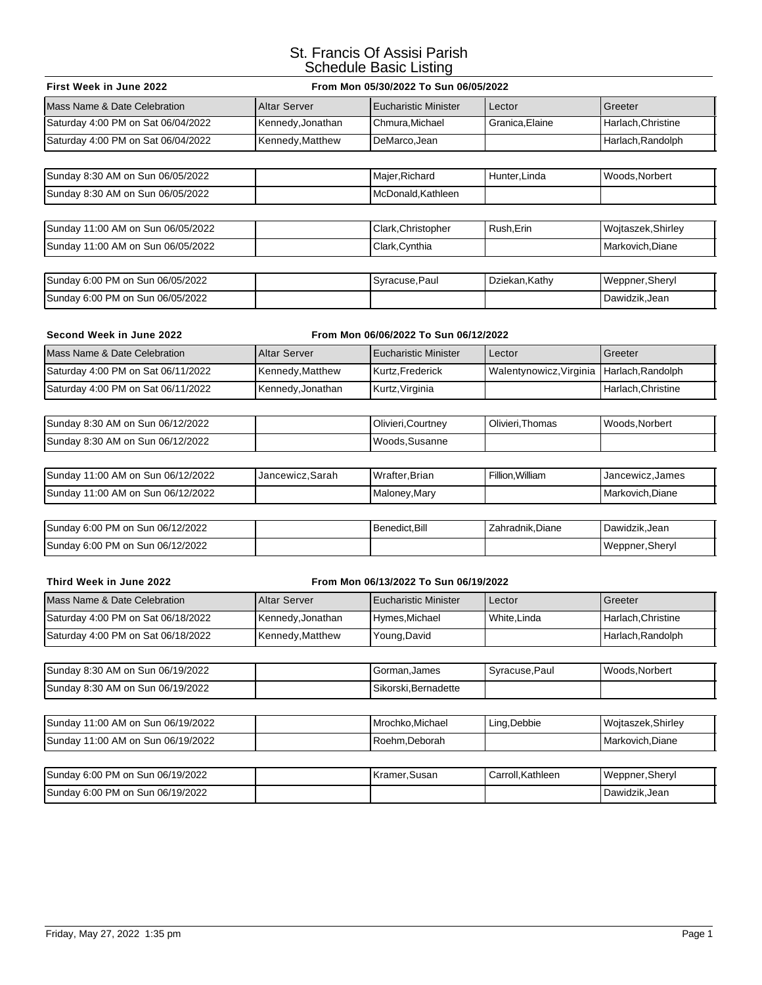## St. Francis Of Assisi Parish Schedule Basic Listing

| From Mon 05/30/2022 To Sun 06/05/2022<br>First Week in June 2022  |                             |                         |                    |  |  |  |
|-------------------------------------------------------------------|-----------------------------|-------------------------|--------------------|--|--|--|
| <b>Altar Server</b>                                               | <b>Eucharistic Minister</b> | Lector                  | Greeter            |  |  |  |
| Kennedy, Jonathan                                                 | Chmura, Michael             | Granica, Elaine         | Harlach, Christine |  |  |  |
| Kennedy, Matthew                                                  | DeMarco, Jean               |                         | Harlach, Randolph  |  |  |  |
|                                                                   |                             |                         |                    |  |  |  |
|                                                                   | Majer, Richard              | Hunter, Linda           | Woods, Norbert     |  |  |  |
|                                                                   | McDonald, Kathleen          |                         |                    |  |  |  |
|                                                                   |                             |                         |                    |  |  |  |
|                                                                   | Clark, Christopher          | Rush, Erin              | Wojtaszek, Shirley |  |  |  |
|                                                                   | Clark, Cynthia              |                         | Markovich, Diane   |  |  |  |
|                                                                   |                             |                         |                    |  |  |  |
|                                                                   | Syracuse, Paul              | Dziekan, Kathy          | Weppner, Sheryl    |  |  |  |
|                                                                   |                             |                         | Dawidzik, Jean     |  |  |  |
|                                                                   |                             |                         |                    |  |  |  |
| Second Week in June 2022<br>From Mon 06/06/2022 To Sun 06/12/2022 |                             |                         |                    |  |  |  |
| <b>Altar Server</b>                                               | <b>Eucharistic Minister</b> | Lector                  | Greeter            |  |  |  |
| Kennedy, Matthew                                                  | Kurtz, Frederick            | Walentynowicz, Virginia | Harlach, Randolph  |  |  |  |
|                                                                   |                             |                         |                    |  |  |  |

| Sunday 8:30 AM on Sun 06/12/2022 | Olivieri.Courtney | Olivieri.Thomas | Woods.Norbert |
|----------------------------------|-------------------|-----------------|---------------|
| Sunday 8:30 AM on Sun 06/12/2022 | l Woods.Susanne   |                 |               |

Saturday 4:00 PM on Sat 06/11/2022 Kennedy,Jonathan Kurtz,Virginia Harlach,Christine

| Sunday 11:00 AM on Sun 06/12/2022  | Jancewicz.Sarah | Wrafter.Brian | Fillion.William | <b>IJancewicz.James</b> |
|------------------------------------|-----------------|---------------|-----------------|-------------------------|
| ISundav 11:00 AM on Sun 06/12/2022 |                 | Malonev.Marv  |                 | Markovich.Diane         |

| Sunday 6:00 PM on Sun 06/12/2022 | Benedict.Bill | Zahradnik.Diane | Dawidzik.Jean   |
|----------------------------------|---------------|-----------------|-----------------|
| Sunday 6:00 PM on Sun 06/12/2022 |               |                 | Weppner, Sheryl |

## **Third Week in June 2022 From Mon 06/13/2022 To Sun 06/19/2022**

| Mass Name & Date Celebration       | <b>Altar Server</b> | <b>I Eucharistic Minister</b> | Lector      | l Greeter         |
|------------------------------------|---------------------|-------------------------------|-------------|-------------------|
| Saturday 4:00 PM on Sat 06/18/2022 | Kennedy, Jonathan   | Hymes, Michael                | White.Linda | Harlach.Christine |
| Saturday 4:00 PM on Sat 06/18/2022 | Kennedy, Matthew    | Young, David                  |             | Harlach.Randolph  |

| Sunday 8:30 AM on Sun 06/19/2022 | Gorman.James        | Syracuse.Paul | Woods.Norbert |
|----------------------------------|---------------------|---------------|---------------|
| Sunday 8:30 AM on Sun 06/19/2022 | Sikorski.Bernadette |               |               |

| Sunday 11:00 AM on Sun 06/19/2022 | Mrochko.Michael | Ling, Debbie | Woitaszek.Shirlev |
|-----------------------------------|-----------------|--------------|-------------------|
| Sunday 11:00 AM on Sun 06/19/2022 | l Roehm.Deborah |              | Markovich.Diane   |

| Sunday 6:00 PM on Sun 06/19/2022 | l Kramer.Susan | Carroll.Kathleen | Weppner, Sheryl |
|----------------------------------|----------------|------------------|-----------------|
| Sunday 6:00 PM on Sun 06/19/2022 |                |                  | Dawidzik.Jean   |